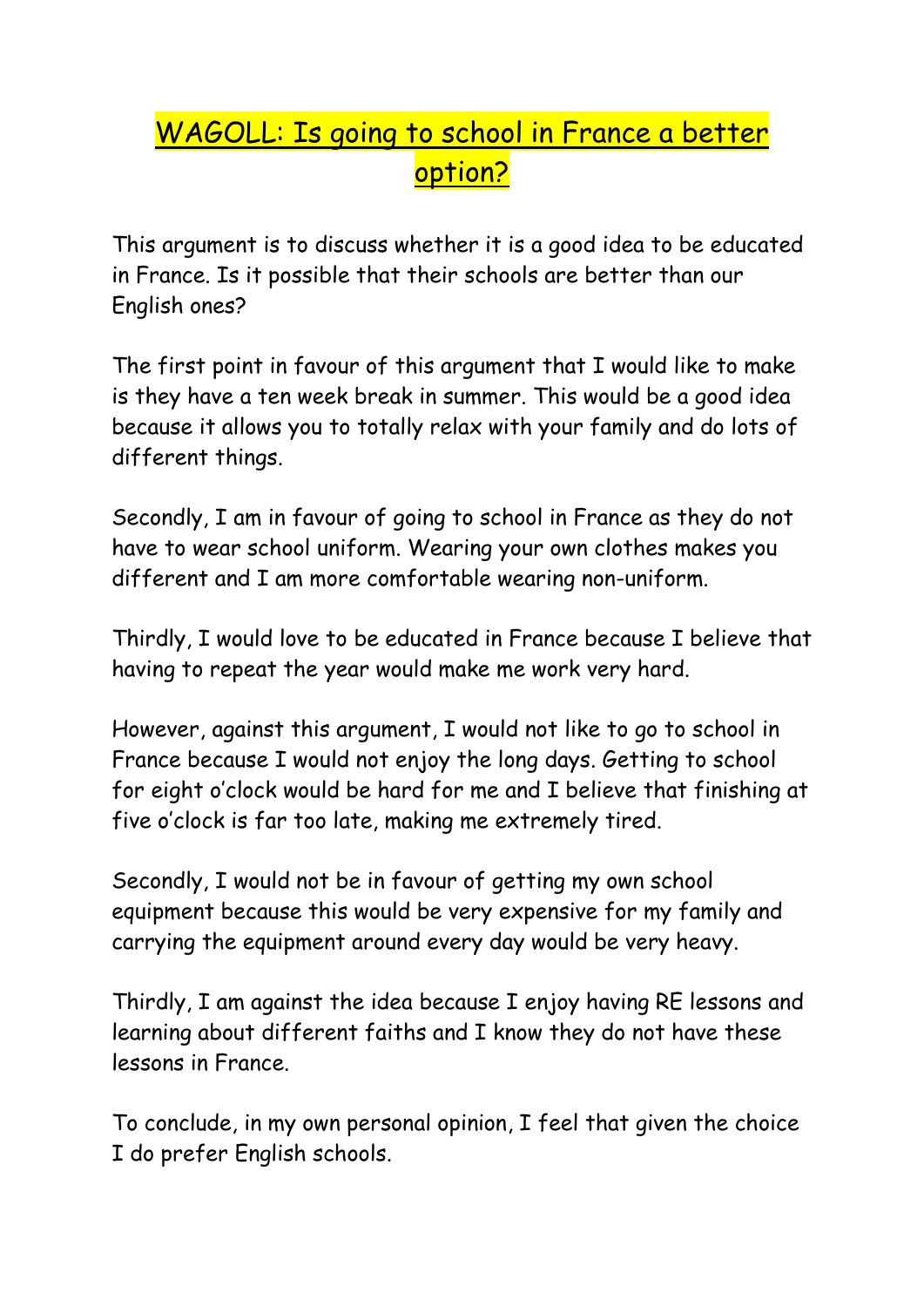## WAGOLL: Is going to school in France a better option?

This argument is to discuss whether it is a good idea to be educated in France. Is it possible that their schools are better than our English ones?

The first point in favour of this argument that I would like to make is they have a ten week break in summer. This would be a good idea because it allows you to totally relax with your family and do lots of different things.

Secondly, I am in favour of going to school in France as they do not have to wear school uniform. Wearing your own clothes makes you different and I am more comfortable wearing non-uniform.

Thirdly, I would love to be educated in France because I believe that having to repeat the year would make me work very hard.

However, against this argument, I would not like to go to school in France because I would not enjoy the long days. Getting to school for eight o'clock would be hard for me and I believe that finishing at five o'clock is far too late, making me extremely tired.

Secondly, I would not be in favour of getting my own school equipment because this would be very expensive for my family and carrying the equipment around every day would be very heavy.

Thirdly, I am against the idea because I enjoy having RE lessons and learning about different faiths and I know they do not have these lessons in France.

To conclude, in my own personal opinion, I feel that given the choice I do prefer English schools.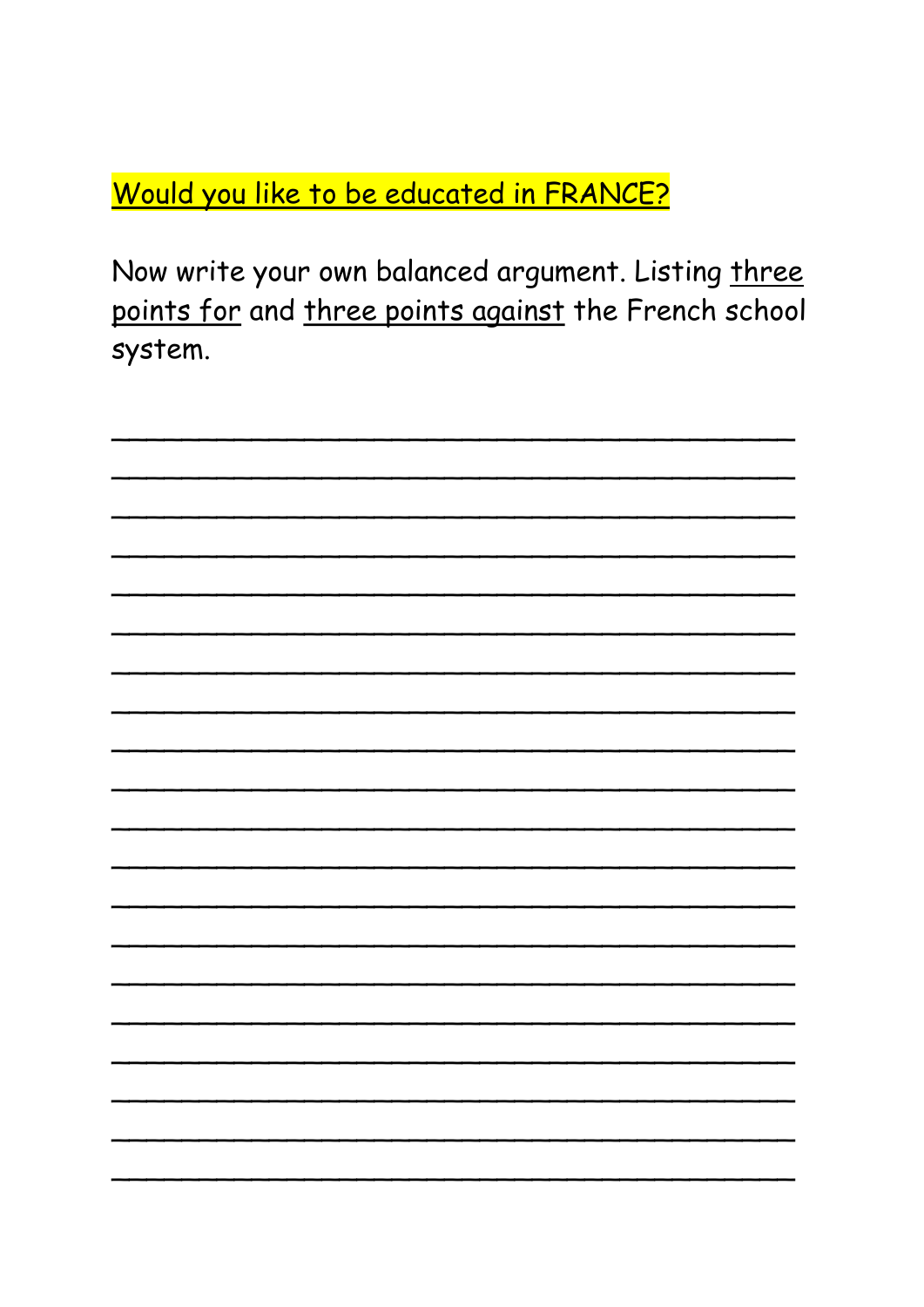Would you like to be educated in FRANCE?

Now write your own balanced argument. Listing three points for and three points against the French school system.